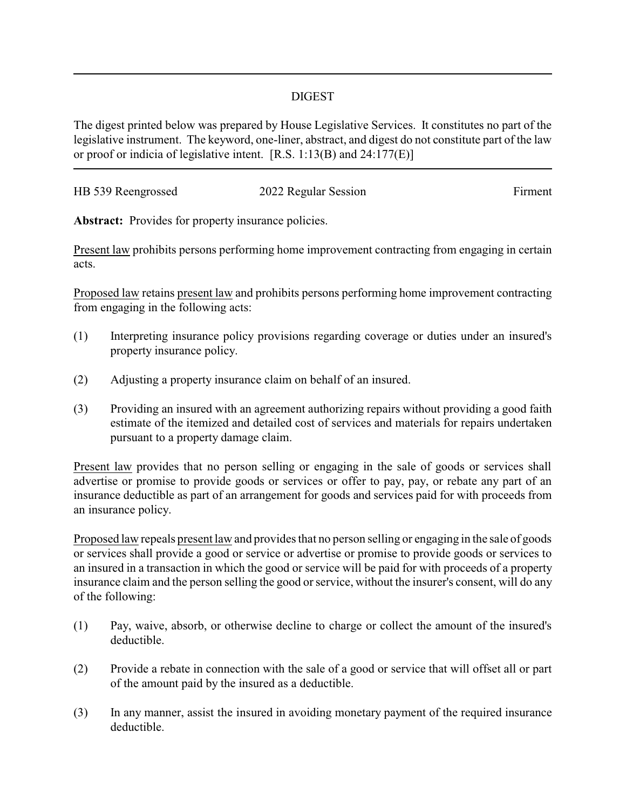## DIGEST

The digest printed below was prepared by House Legislative Services. It constitutes no part of the legislative instrument. The keyword, one-liner, abstract, and digest do not constitute part of the law or proof or indicia of legislative intent. [R.S. 1:13(B) and 24:177(E)]

| HB 539 Reengrossed | 2022 Regular Session | Firment |
|--------------------|----------------------|---------|
|                    |                      |         |

Abstract: Provides for property insurance policies.

Present law prohibits persons performing home improvement contracting from engaging in certain acts.

Proposed law retains present law and prohibits persons performing home improvement contracting from engaging in the following acts:

- (1) Interpreting insurance policy provisions regarding coverage or duties under an insured's property insurance policy.
- (2) Adjusting a property insurance claim on behalf of an insured.
- (3) Providing an insured with an agreement authorizing repairs without providing a good faith estimate of the itemized and detailed cost of services and materials for repairs undertaken pursuant to a property damage claim.

Present law provides that no person selling or engaging in the sale of goods or services shall advertise or promise to provide goods or services or offer to pay, pay, or rebate any part of an insurance deductible as part of an arrangement for goods and services paid for with proceeds from an insurance policy.

Proposed law repeals present law and provides that no person selling or engaging in the sale of goods or services shall provide a good or service or advertise or promise to provide goods or services to an insured in a transaction in which the good or service will be paid for with proceeds of a property insurance claim and the person selling the good or service, without the insurer's consent, will do any of the following:

- (1) Pay, waive, absorb, or otherwise decline to charge or collect the amount of the insured's deductible.
- (2) Provide a rebate in connection with the sale of a good or service that will offset all or part of the amount paid by the insured as a deductible.
- (3) In any manner, assist the insured in avoiding monetary payment of the required insurance deductible.